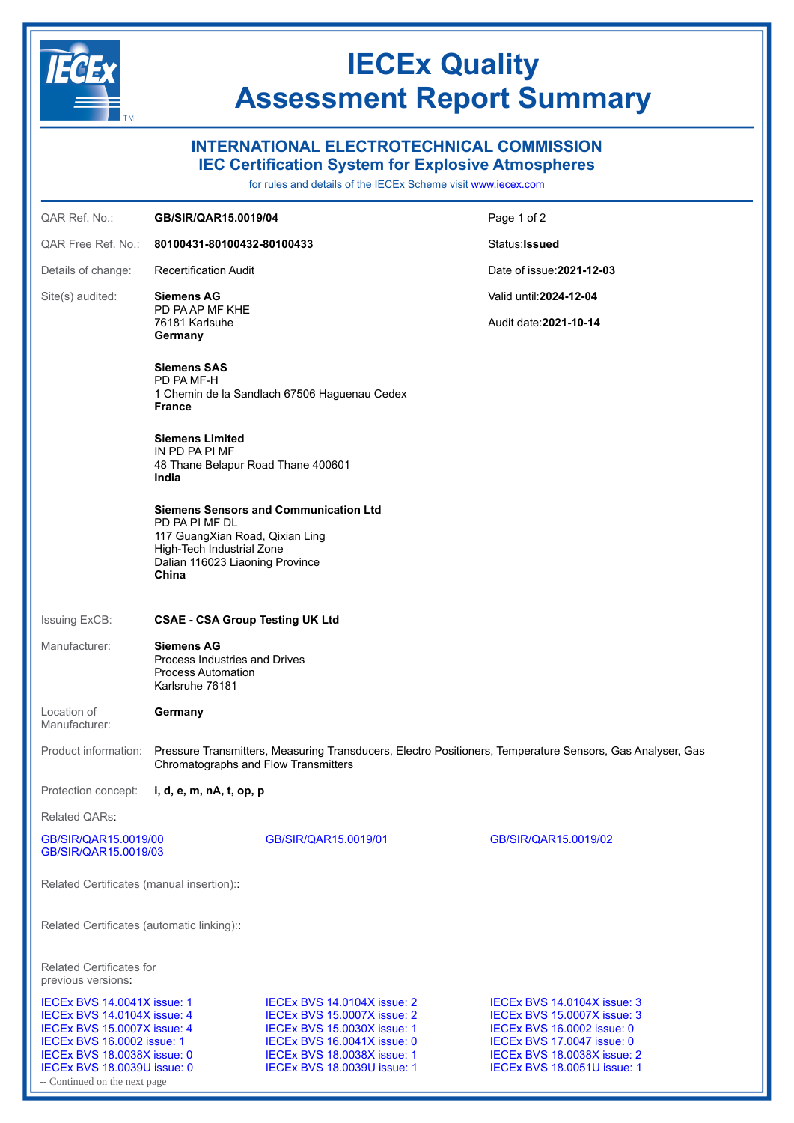

# **IECEx Quality Assessment Report Summary**

Page 1 of 2 Status:**Issued**

Date of issue:**2021-12-03**

Valid until:**2024-12-04** Audit date:**2021-10-14**

### **INTERNATIONAL ELECTROTECHNICAL COMMISSION**

**IEC Certification System for Explosive Atmospheres**

for rules and details of the IECEx Scheme visit [www.iecex.com](https://www.iecex.com)

### QAR Ref. No.: **GB/SIR/QAR15.0019/04**

QAR Free Ref. No.: **80100431-80100432-80100433**

Details of change: Recertification Audit

Site(s) audited: **Siemens AG** PD PA AP MF KHE

76181 Karlsuhe **Germany**

**Siemens SAS** PD PA MF-H 1 Chemin de la Sandlach 67506 Haguenau Cedex **France**

**Siemens Limited** IN PD PA PI MF 48 Thane Belapur Road Thane 400601 **India**

**Siemens Sensors and Communication Ltd** PD PA PI MF DL 117 GuangXian Road, Qixian Ling High-Tech Industrial Zone Dalian 116023 Liaoning Province **China**

#### Issuing ExCB: **CSAE - CSA Group Testing UK Ltd**

#### Manufacturer: **Siemens AG** Process Industries and Drives Process Automation Karlsruhe 76181

Location of Manufacturer: **Germany**

Product information: Pressure Transmitters, Measuring Transducers, Electro Positioners, Temperature Sensors, Gas Analyser, Gas Chromatographs and Flow Transmitters

Protection concept: **i, d, e, m, nA, t, op, p**

Related QARs:

[GB/SIR/QAR15.0019/00](https://www.iecex-certs.com/#/deliverables/REPORT/55137/view) [GB/SIR/QAR15.0019/01](https://www.iecex-certs.com/#/deliverables/REPORT/55138/view) [GB/SIR/QAR15.0019/02](https://www.iecex-certs.com/#/deliverables/REPORT/71589/view)

Related Certificates (manual insertion)::

Related Certificates (automatic linking)::

Related Certificates for previous versions:

[GB/SIR/QAR15.0019/03](https://www.iecex-certs.com/#/deliverables/REPORT/78241/view)

- Continued on the next page [IECEx BVS 14.0104X issue: 4](https://www.iecex-certs.com/#/deliverables/CERT/7615/view) [IECEx BVS 15.0007X issue: 2](https://www.iecex-certs.com/#/deliverables/CERT/7692/view) [IECEx BVS 15.0007X issue: 3](https://www.iecex-certs.com/#/deliverables/CERT/7719/view) [IECEx BVS 16.0002 issue: 1](https://www.iecex-certs.com/#/deliverables/CERT/7945/view) [IECEx BVS 18.0038X issue: 0](https://www.iecex-certs.com/#/deliverables/CERT/8203/view) [IECEx BVS 18.0038X issue: 1](https://www.iecex-certs.com/#/deliverables/CERT/48479/view) [IECEx BVS 18.0038X issue: 2](https://www.iecex-certs.com/#/deliverables/CERT/50796/view)<br>IECEx BVS 18.0039U issue: 0 IECEx BVS 18.0039U issue: 1 IECEx BVS 18.0051U issue: 1

[IECEx BVS 15.0030X issue: 1](https://www.iecex-certs.com/#/deliverables/CERT/7731/view) [IECEx BVS 16.0002 issue: 0](https://www.iecex-certs.com/#/deliverables/CERT/7944/view)<br>IECEx BVS 16.0041X issue: 0 IECEx BVS 17.0047 issue: 0 [IECEx BVS 18.0039U issue: 1](https://www.iecex-certs.com/#/deliverables/CERT/45752/view)

[IECEx BVS 14.0041X issue: 1](https://www.iecex-certs.com/#/deliverables/CERT/7499/view) [IECEx BVS 14.0104X issue: 2](https://www.iecex-certs.com/#/deliverables/CERT/7651/view) [IECEx BVS 14.0104X issue: 3](https://www.iecex-certs.com/#/deliverables/CERT/7614/view)